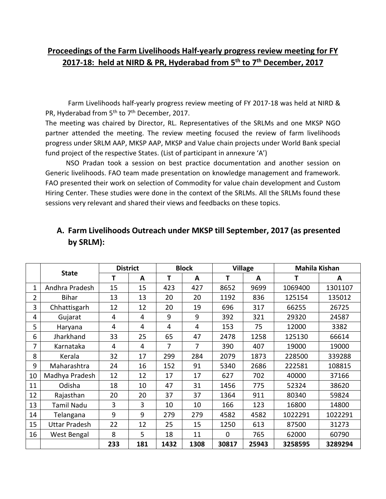## **Proceedings of the Farm Livelihoods Half-yearly progress review meeting for FY 2017-18: held at NIRD & PR, Hyderabad from 5th to 7th December, 2017**

Farm Livelihoods half-yearly progress review meeting of FY 2017-18 was held at NIRD & PR, Hyderabad from 5<sup>th</sup> to 7<sup>th</sup> December, 2017.

The meeting was chaired by Director, RL. Representatives of the SRLMs and one MKSP NGO partner attended the meeting. The review meeting focused the review of farm livelihoods progress under SRLM AAP, MKSP AAP, MKSP and Value chain projects under World Bank special fund project of the respective States. (List of participant in annexure 'A')

 NSO Pradan took a session on best practice documentation and another session on Generic livelihoods. FAO team made presentation on knowledge management and framework. FAO presented their work on selection of Commodity for value chain development and Custom Hiring Center. These studies were done in the context of the SRLMs. All the SRLMs found these sessions very relevant and shared their views and feedbacks on these topics.

|    |                      | <b>District</b> |                |      | <b>Block</b> |          | <b>Village</b> | <b>Mahila Kishan</b> |         |
|----|----------------------|-----------------|----------------|------|--------------|----------|----------------|----------------------|---------|
|    | <b>State</b>         | т               | A              | Т    | A            | т        | A              | Т                    | A       |
| 1  | Andhra Pradesh       | 15              | 15             | 423  | 427          | 8652     | 9699           | 1069400              | 1301107 |
| 2  | <b>Bihar</b>         | 13              | 13             | 20   | 20           | 1192     | 836            | 125154               | 135012  |
| 3  | Chhattisgarh         | 12              | 12             | 20   | 19           | 696      | 317            | 66255                | 26725   |
| 4  | Gujarat              | 4               | 4              | 9    | 9            | 392      | 321            | 29320                | 24587   |
| 5  | Haryana              | 4               | $\overline{4}$ | 4    | 4            | 153      | 75             | 12000                | 3382    |
| 6  | Jharkhand            | 33              | 25             | 65   | 47           | 2478     | 1258           | 125130               | 66614   |
| 7  | Karnataka            | 4               | 4              | 7    | 7            | 390      | 407            | 19000                | 19000   |
| 8  | Kerala               | 32              | 17             | 299  | 284          | 2079     | 1873           | 228500               | 339288  |
| 9  | Maharashtra          | 24              | 16             | 152  | 91           | 5340     | 2686           | 222581               | 108815  |
| 10 | Madhya Pradesh       | 12              | 12             | 17   | 17           | 627      | 702            | 40000                | 37166   |
| 11 | Odisha               | 18              | 10             | 47   | 31           | 1456     | 775            | 52324                | 38620   |
| 12 | Rajasthan            | 20              | 20             | 37   | 37           | 1364     | 911            | 80340                | 59824   |
| 13 | <b>Tamil Nadu</b>    | 3               | 3              | 10   | 10           | 166      | 123            | 16800                | 14800   |
| 14 | Telangana            | 9               | 9              | 279  | 279          | 4582     | 4582           | 1022291              | 1022291 |
| 15 | <b>Uttar Pradesh</b> | 22              | 12             | 25   | 15           | 1250     | 613            | 87500                | 31273   |
| 16 | West Bengal          | 8               | 5              | 18   | 11           | $\Omega$ | 765            | 62000                | 60790   |
|    |                      | 233             | 181            | 1432 | 1308         | 30817    | 25943          | 3258595              | 3289294 |

## **A. Farm Livelihoods Outreach under MKSP till September, 2017 (as presented by SRLM):**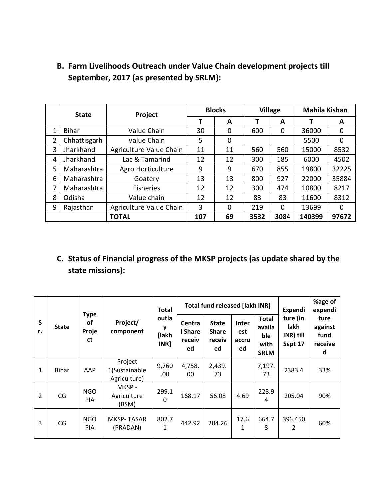# **B. Farm Livelihoods Outreach under Value Chain development projects till September, 2017 (as presented by SRLM):**

|   | <b>State</b> | Project                 |     | <b>Blocks</b> |      | <b>Village</b> | <b>Mahila Kishan</b> |       |
|---|--------------|-------------------------|-----|---------------|------|----------------|----------------------|-------|
|   |              |                         | т   | А             |      | A              | т                    | A     |
| 1 | <b>Bihar</b> | Value Chain             | 30  | 0             | 600  | 0              | 36000                | 0     |
| 2 | Chhattisgarh | Value Chain             | 5   | 0             |      |                | 5500                 | 0     |
| 3 | Jharkhand    | Agriculture Value Chain | 11  | 11            | 560  | 560            | 15000                | 8532  |
| 4 | Jharkhand    | Lac & Tamarind          | 12  | 12            | 300  | 185            | 6000                 | 4502  |
| 5 | Maharashtra  | Agro Horticulture       | 9   | 9             | 670  | 855            | 19800                | 32225 |
| 6 | Maharashtra  | Goatery                 | 13  | 13            | 800  | 927            | 22000                | 35884 |
| 7 | Maharashtra  | <b>Fisheries</b>        | 12  | 12            | 300  | 474            | 10800                | 8217  |
| 8 | Odisha       | Value chain             | 12  | 12            | 83   | 83             | 11600                | 8312  |
| 9 | Rajasthan    | Agriculture Value Chain | 3   | 0             | 219  | 0              | 13699                | 0     |
|   |              | <b>TOTAL</b>            | 107 | 69            | 3532 | 3084           | 140399               | 97672 |

# **C. Status of Financial progress of the MKSP projects (as update shared by the state missions):**

|                |              | <b>Type</b>              | Project/<br>component                    | Total                       |                                   | <b>Total fund released [lakh INR]</b>        |                                           |                                                      | Expendi<br>ture (in<br>lakh<br>INR) till<br>Sept 17 | %age of<br>expendi                      |
|----------------|--------------|--------------------------|------------------------------------------|-----------------------------|-----------------------------------|----------------------------------------------|-------------------------------------------|------------------------------------------------------|-----------------------------------------------------|-----------------------------------------|
| S<br>r.        | <b>State</b> | οf<br>Proje<br>ct        |                                          | outla<br>y<br>[lakh<br>INR] | Centra<br>I Share<br>receiv<br>ed | <b>State</b><br><b>Share</b><br>receiv<br>ed | <b>Inter</b><br><b>est</b><br>accru<br>ed | <b>Total</b><br>availa<br>ble<br>with<br><b>SRLM</b> |                                                     | ture<br>against<br>fund<br>receive<br>d |
| $\mathbf{1}$   | Bihar        | AAP                      | Project<br>1(Sustainable<br>Agriculture) | 9,760<br>.00.               | 4,758.<br>00                      | 2,439.<br>73                                 |                                           | 7,197.<br>73                                         | 2383.4                                              | 33%                                     |
| $\overline{2}$ | CG           | <b>NGO</b><br><b>PIA</b> | MKSP -<br>Agriculture<br>(BSM)           | 299.1<br>$\Omega$           | 168.17                            | 56.08                                        | 4.69                                      | 228.9<br>4                                           | 205.04                                              | 90%                                     |
| 3              | CG           | <b>NGO</b><br><b>PIA</b> | <b>MKSP-TASAR</b><br>(PRADAN)            | 802.7<br>1                  | 442.92                            | 204.26                                       | 17.6<br>1                                 | 664.7<br>8                                           | 396.450<br>2                                        | 60%                                     |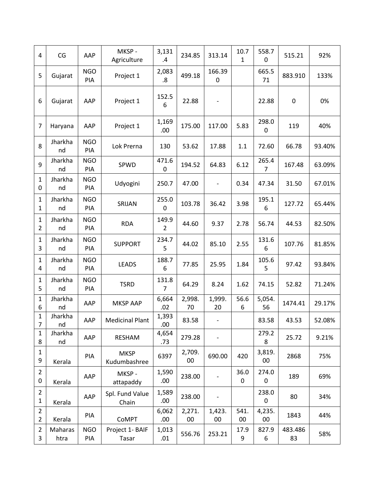| 4                                | CG              | AAP               | MKSP-<br>Agriculture        | 3,131<br>$\cdot$        | 234.85           | 313.14                | 10.7<br>$\mathbf{1}$ | 558.7<br>0                | 515.21        | 92%    |
|----------------------------------|-----------------|-------------------|-----------------------------|-------------------------|------------------|-----------------------|----------------------|---------------------------|---------------|--------|
| 5                                | Gujarat         | <b>NGO</b><br>PIA | Project 1                   | 2,083<br>8.5            | 499.18           | 166.39<br>$\mathbf 0$ |                      | 665.5<br>71               | 883.910       | 133%   |
| 6                                | Gujarat         | AAP               | Project 1                   | 152.5<br>6              | 22.88            |                       |                      | 22.88                     | $\mathbf 0$   | 0%     |
| 7                                | Haryana         | AAP               | Project 1                   | 1,169<br>.00.           | 175.00           | 117.00                | 5.83                 | 298.0<br>$\boldsymbol{0}$ | 119           | 40%    |
| 8                                | Jharkha<br>nd   | <b>NGO</b><br>PIA | Lok Prerna                  | 130                     | 53.62            | 17.88                 | 1.1                  | 72.60                     | 66.78         | 93.40% |
| 9                                | Jharkha<br>nd   | <b>NGO</b><br>PIA | SPWD                        | 471.6<br>0              | 194.52           | 64.83                 | 6.12                 | 265.4<br>$\overline{7}$   | 167.48        | 63.09% |
| 1<br>0                           | Jharkha<br>nd   | <b>NGO</b><br>PIA | Udyogini                    | 250.7                   | 47.00            |                       | 0.34                 | 47.34                     | 31.50         | 67.01% |
| 1<br>1                           | Jharkha<br>nd   | <b>NGO</b><br>PIA | SRIJAN                      | 255.0<br>0              | 103.78           | 36.42                 | 3.98                 | 195.1<br>6                | 127.72        | 65.44% |
| 1<br>$\overline{2}$              | Jharkha<br>nd   | <b>NGO</b><br>PIA | <b>RDA</b>                  | 149.9<br>$\overline{2}$ | 44.60            | 9.37                  | 2.78                 | 56.74                     | 44.53         | 82.50% |
| 1<br>3                           | Jharkha<br>nd   | <b>NGO</b><br>PIA | <b>SUPPORT</b>              | 234.7<br>5              | 44.02            | 85.10                 | 2.55                 | 131.6<br>6                | 107.76        | 81.85% |
| 1<br>4                           | Jharkha<br>nd   | <b>NGO</b><br>PIA | LEADS                       | 188.7<br>6              | 77.85            | 25.95                 | 1.84                 | 105.6<br>5                | 97.42         | 93.84% |
| 1<br>5                           | Jharkha<br>nd   | <b>NGO</b><br>PIA | <b>TSRD</b>                 | 131.8<br>7              | 64.29            | 8.24                  | 1.62                 | 74.15                     | 52.82         | 71.24% |
| 1<br>6                           | Jharkha<br>nd   | AAP               | <b>MKSP AAP</b>             | 6,664<br>.02            | 2,998.<br>70     | 1,999.<br>20          | 56.6<br>6            | 5,054.<br>56              | 1474.41       | 29.17% |
| $\mathbf{1}$<br>7                | Jharkha<br>nd   | AAP               | <b>Medicinal Plant</b>      | 1,393<br>.00            | 83.58            |                       |                      | 83.58                     | 43.53         | 52.08% |
| $\mathbf{1}$<br>8                | Jharkha<br>nd   | AAP               | RESHAM                      | 4,654<br>.73            | 279.28           |                       |                      | 279.2<br>8                | 25.72         | 9.21%  |
| 1<br>9                           | Kerala          | PIA               | <b>MKSP</b><br>Kudumbashree | 6397                    | 2,709.<br>$00\,$ | 690.00                | 420                  | 3,819.<br>00              | 2868          | 75%    |
| $\overline{2}$<br>0              | Kerala          | AAP               | MKSP-<br>attapaddy          | 1,590<br>.00.           | 238.00           |                       | 36.0<br>$\mathbf 0$  | 274.0<br>0                | 189           | 69%    |
| $\overline{2}$<br>1              | Kerala          | AAP               | Spl. Fund Value<br>Chain    | 1,589<br>.00.           | 238.00           |                       |                      | 238.0<br>$\boldsymbol{0}$ | 80            | 34%    |
| $\overline{2}$<br>$\overline{2}$ | Kerala          | PIA               | CoMPT                       | 6,062<br>.00.           | 2,271.<br>$00\,$ | 1,423.<br>00          | 541.<br>00           | 4,235.<br>00              | 1843          | 44%    |
| 2<br>3                           | Maharas<br>htra | <b>NGO</b><br>PIA | Project 1- BAIF<br>Tasar    | 1,013<br>.01            | 556.76           | 253.21                | 17.9<br>9            | 827.9<br>6                | 483.486<br>83 | 58%    |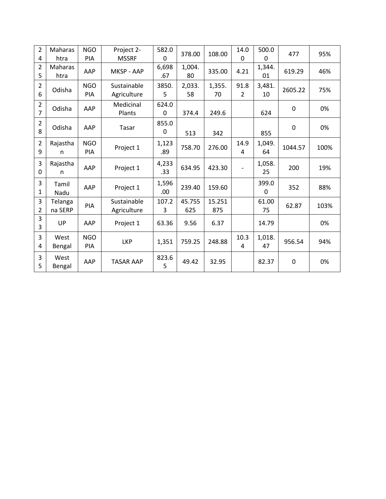| $\overline{2}$<br>4              | <b>Maharas</b><br>htra | <b>NGO</b><br>PIA | Project 2-<br><b>MSSRF</b> | 582.0<br>$\overline{0}$ | 378.00        | 108.00        | 14.0<br>$\mathbf 0$ | 500.0<br>$\mathbf 0$ | 477         | 95%  |
|----------------------------------|------------------------|-------------------|----------------------------|-------------------------|---------------|---------------|---------------------|----------------------|-------------|------|
| $\overline{2}$<br>5              | Maharas<br>htra        | AAP               | MKSP - AAP                 | 6,698<br>.67            | 1,004.<br>80  | 335.00        | 4.21                | 1,344.<br>01         | 619.29      | 46%  |
| 2<br>6                           | Odisha                 | <b>NGO</b><br>PIA | Sustainable<br>Agriculture | 3850.<br>5              | 2,033.<br>58  | 1,355.<br>70  | 91.8<br>2           | 3,481.<br>10         | 2605.22     | 75%  |
| $\overline{2}$<br>$\overline{7}$ | Odisha                 | AAP               | Medicinal<br>Plants        | 624.0<br>$\mathbf{0}$   | 374.4         | 249.6         |                     | 624                  | $\mathbf 0$ | 0%   |
| $\overline{2}$<br>8              | Odisha                 | AAP               | Tasar                      | 855.0<br>0              | 513           | 342           |                     | 855                  | $\mathbf 0$ | 0%   |
| $\overline{2}$<br>9              | Rajastha<br>n          | <b>NGO</b><br>PIA | Project 1                  | 1,123<br>.89            | 758.70        | 276.00        | 14.9<br>4           | 1,049.<br>64         | 1044.57     | 100% |
| $\overline{3}$<br>$\Omega$       | Rajastha<br>n          | AAP               | Project 1                  | 4,233<br>.33            | 634.95        | 423.30        |                     | 1,058.<br>25         | 200         | 19%  |
| 3<br>1                           | Tamil<br>Nadu          | AAP               | Project 1                  | 1,596<br>.00            | 239.40        | 159.60        |                     | 399.0<br>$\Omega$    | 352         | 88%  |
| 3<br>2                           | Telanga<br>na SERP     | PIA               | Sustainable<br>Agriculture | 107.2<br>3              | 45.755<br>625 | 15.251<br>875 |                     | 61.00<br>75          | 62.87       | 103% |
| 3<br>3                           | UP                     | AAP               | Project 1                  | 63.36                   | 9.56          | 6.37          |                     | 14.79                |             | 0%   |
| 3<br>4                           | West<br>Bengal         | <b>NGO</b><br>PIA | <b>LKP</b>                 | 1,351                   | 759.25        | 248.88        | 10.3<br>4           | 1,018.<br>47         | 956.54      | 94%  |
| 3<br>5                           | West<br>Bengal         | AAP               | <b>TASAR AAP</b>           | 823.6<br>5              | 49.42         | 32.95         |                     | 82.37                | $\mathbf 0$ | 0%   |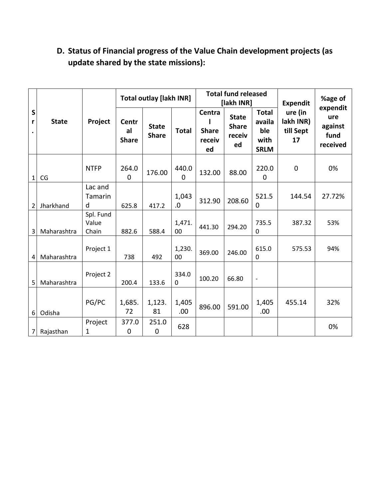# **D. Status of Financial progress of the Value Chain development projects (as update shared by the state missions):**

|                |              |                             |                             | <b>Total outlay [lakh INR]</b> |                   |                                        | <b>Total fund released</b><br>[lakh INR]     |                                                      | <b>Expendit</b>                         | %age of                                        |
|----------------|--------------|-----------------------------|-----------------------------|--------------------------------|-------------------|----------------------------------------|----------------------------------------------|------------------------------------------------------|-----------------------------------------|------------------------------------------------|
| ${\sf S}$<br>r | <b>State</b> | Project                     | Centr<br>al<br><b>Share</b> | <b>State</b><br><b>Share</b>   | <b>Total</b>      | Centra<br><b>Share</b><br>receiv<br>ed | <b>State</b><br><b>Share</b><br>receiv<br>ed | <b>Total</b><br>availa<br>ble<br>with<br><b>SRLM</b> | ure (in<br>lakh INR)<br>till Sept<br>17 | expendit<br>ure<br>against<br>fund<br>received |
| 1              | CG           | <b>NTFP</b>                 | 264.0<br>$\overline{0}$     | 176.00                         | 440.0<br>$\Omega$ | 132.00                                 | 88.00                                        | 220.0<br>$\overline{0}$                              | $\overline{0}$                          | 0%                                             |
| $\overline{2}$ | Jharkhand    | Lac and<br>Tamarin<br>d     | 625.8                       | 417.2                          | 1,043<br>.0       | 312.90                                 | 208.60                                       | 521.5<br>0                                           | 144.54                                  | 27.72%                                         |
| 3              | Maharashtra  | Spl. Fund<br>Value<br>Chain | 882.6                       | 588.4                          | 1,471.<br>00      | 441.30                                 | 294.20                                       | 735.5<br>$\mathbf{0}$                                | 387.32                                  | 53%                                            |
| 4              | Maharashtra  | Project 1                   | 738                         | 492                            | 1,230.<br>00      | 369.00                                 | 246.00                                       | 615.0<br>0                                           | 575.53                                  | 94%                                            |
| 5              | Maharashtra  | Project 2                   | 200.4                       | 133.6                          | 334.0<br>0        | 100.20                                 | 66.80                                        | $\overline{\phantom{a}}$                             |                                         |                                                |
| 6              | Odisha       | PG/PC                       | 1,685.<br>72                | 1,123.<br>81                   | 1,405<br>.00.     | 896.00                                 | 591.00                                       | 1,405<br>.00                                         | 455.14                                  | 32%                                            |
| 7              | Rajasthan    | Project<br>1                | 377.0<br>0                  | 251.0<br>$\mathbf 0$           | 628               |                                        |                                              |                                                      |                                         | 0%                                             |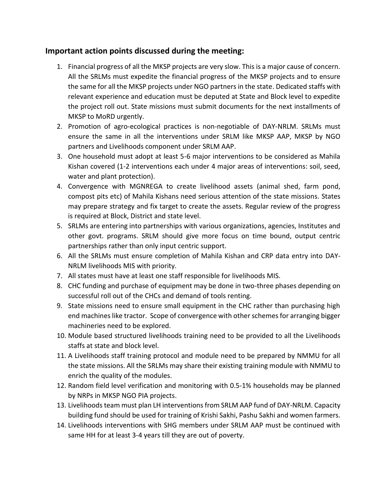## **Important action points discussed during the meeting:**

- 1. Financial progress of all the MKSP projects are very slow. This is a major cause of concern. All the SRLMs must expedite the financial progress of the MKSP projects and to ensure the same for all the MKSP projects under NGO partners in the state. Dedicated staffs with relevant experience and education must be deputed at State and Block level to expedite the project roll out. State missions must submit documents for the next installments of MKSP to MoRD urgently.
- 2. Promotion of agro-ecological practices is non-negotiable of DAY-NRLM. SRLMs must ensure the same in all the interventions under SRLM like MKSP AAP, MKSP by NGO partners and Livelihoods component under SRLM AAP.
- 3. One household must adopt at least 5-6 major interventions to be considered as Mahila Kishan covered (1-2 interventions each under 4 major areas of interventions: soil, seed, water and plant protection).
- 4. Convergence with MGNREGA to create livelihood assets (animal shed, farm pond, compost pits etc) of Mahila Kishans need serious attention of the state missions. States may prepare strategy and fix target to create the assets. Regular review of the progress is required at Block, District and state level.
- 5. SRLMs are entering into partnerships with various organizations, agencies, Institutes and other govt. programs. SRLM should give more focus on time bound, output centric partnerships rather than only input centric support.
- 6. All the SRLMs must ensure completion of Mahila Kishan and CRP data entry into DAY-NRLM livelihoods MIS with priority.
- 7. All states must have at least one staff responsible for livelihoods MIS.
- 8. CHC funding and purchase of equipment may be done in two-three phases depending on successful roll out of the CHCs and demand of tools renting.
- 9. State missions need to ensure small equipment in the CHC rather than purchasing high end machines like tractor. Scope of convergence with other schemes for arranging bigger machineries need to be explored.
- 10. Module based structured livelihoods training need to be provided to all the Livelihoods staffs at state and block level.
- 11. A Livelihoods staff training protocol and module need to be prepared by NMMU for all the state missions. All the SRLMs may share their existing training module with NMMU to enrich the quality of the modules.
- 12. Random field level verification and monitoring with 0.5-1% households may be planned by NRPs in MKSP NGO PIA projects.
- 13. Livelihoodsteam must plan LH interventions from SRLM AAP fund of DAY-NRLM. Capacity building fund should be used for training of Krishi Sakhi, Pashu Sakhi and women farmers.
- 14. Livelihoods interventions with SHG members under SRLM AAP must be continued with same HH for at least 3-4 years till they are out of poverty.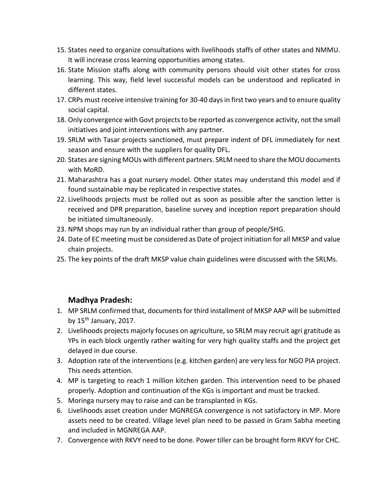- 15. States need to organize consultations with livelihoods staffs of other states and NMMU. It will increase cross learning opportunities among states.
- 16. State Mission staffs along with community persons should visit other states for cross learning. This way, field level successful models can be understood and replicated in different states.
- 17. CRPs must receive intensive training for 30-40 days in first two years and to ensure quality social capital.
- 18. Only convergence with Govt projects to be reported as convergence activity, not the small initiatives and joint interventions with any partner.
- 19. SRLM with Tasar projects sanctioned, must prepare indent of DFL immediately for next season and ensure with the suppliers for quality DFL.
- 20. States are signing MOUs with different partners. SRLM need to share the MOU documents with MoRD.
- 21. Maharashtra has a goat nursery model. Other states may understand this model and if found sustainable may be replicated in respective states.
- 22. Livelihoods projects must be rolled out as soon as possible after the sanction letter is received and DPR preparation, baseline survey and inception report preparation should be initiated simultaneously.
- 23. NPM shops may run by an individual rather than group of people/SHG.
- 24. Date of EC meeting must be considered as Date of project initiation for all MKSP and value chain projects.
- 25. The key points of the draft MKSP value chain guidelines were discussed with the SRLMs.

## **Madhya Pradesh:**

- 1. MP SRLM confirmed that, documents for third installment of MKSP AAP will be submitted by  $15<sup>th</sup>$  January, 2017.
- 2. Livelihoods projects majorly focuses on agriculture, so SRLM may recruit agri gratitude as YPs in each block urgently rather waiting for very high quality staffs and the project get delayed in due course.
- 3. Adoption rate of the interventions (e.g. kitchen garden) are very less for NGO PIA project. This needs attention.
- 4. MP is targeting to reach 1 million kitchen garden. This intervention need to be phased properly. Adoption and continuation of the KGs is important and must be tracked.
- 5. Moringa nursery may to raise and can be transplanted in KGs.
- 6. Livelihoods asset creation under MGNREGA convergence is not satisfactory in MP. More assets need to be created. Village level plan need to be passed in Gram Sabha meeting and included in MGNREGA AAP.
- 7. Convergence with RKVY need to be done. Power tiller can be brought form RKVY for CHC.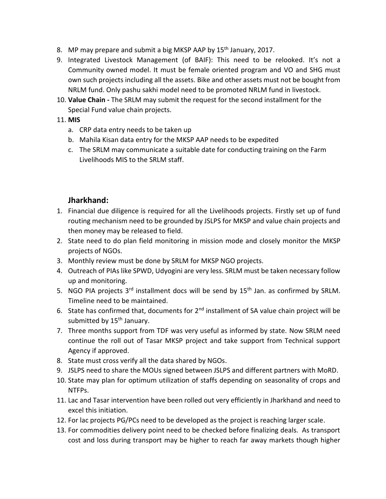- 8. MP may prepare and submit a big MKSP AAP by 15<sup>th</sup> January, 2017.
- 9. Integrated Livestock Management (of BAIF): This need to be relooked. It's not a Community owned model. It must be female oriented program and VO and SHG must own such projects including all the assets. Bike and other assets must not be bought from NRLM fund. Only pashu sakhi model need to be promoted NRLM fund in livestock.
- 10. **Value Chain -** The SRLM may submit the request for the second installment for the Special Fund value chain projects.
- 11. **MIS**
	- a. CRP data entry needs to be taken up
	- b. Mahila Kisan data entry for the MKSP AAP needs to be expedited
	- c. The SRLM may communicate a suitable date for conducting training on the Farm Livelihoods MIS to the SRLM staff.

## **Jharkhand:**

- 1. Financial due diligence is required for all the Livelihoods projects. Firstly set up of fund routing mechanism need to be grounded by JSLPS for MKSP and value chain projects and then money may be released to field.
- 2. State need to do plan field monitoring in mission mode and closely monitor the MKSP projects of NGOs.
- 3. Monthly review must be done by SRLM for MKSP NGO projects.
- 4. Outreach of PIAs like SPWD, Udyogini are very less. SRLM must be taken necessary follow up and monitoring.
- 5. NGO PIA projects 3<sup>rd</sup> installment docs will be send by 15<sup>th</sup> Jan. as confirmed by SRLM. Timeline need to be maintained.
- 6. State has confirmed that, documents for  $2<sup>nd</sup>$  installment of SA value chain project will be submitted by 15<sup>th</sup> January.
- 7. Three months support from TDF was very useful as informed by state. Now SRLM need continue the roll out of Tasar MKSP project and take support from Technical support Agency if approved.
- 8. State must cross verify all the data shared by NGOs.
- 9. JSLPS need to share the MOUs signed between JSLPS and different partners with MoRD.
- 10. State may plan for optimum utilization of staffs depending on seasonality of crops and NTFPs.
- 11. Lac and Tasar intervention have been rolled out very efficiently in Jharkhand and need to excel this initiation.
- 12. For lac projects PG/PCs need to be developed as the project is reaching larger scale.
- 13. For commodities delivery point need to be checked before finalizing deals. As transport cost and loss during transport may be higher to reach far away markets though higher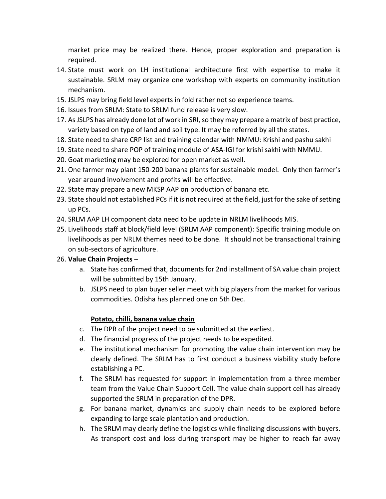market price may be realized there. Hence, proper exploration and preparation is required.

- 14. State must work on LH institutional architecture first with expertise to make it sustainable. SRLM may organize one workshop with experts on community institution mechanism.
- 15. JSLPS may bring field level experts in fold rather not so experience teams.
- 16. Issues from SRLM: State to SRLM fund release is very slow.
- 17. As JSLPS has already done lot of work in SRI, so they may prepare a matrix of best practice, variety based on type of land and soil type. It may be referred by all the states.
- 18. State need to share CRP list and training calendar with NMMU: Krishi and pashu sakhi
- 19. State need to share POP of training module of ASA-IGI for krishi sakhi with NMMU.
- 20. Goat marketing may be explored for open market as well.
- 21. One farmer may plant 150-200 banana plants for sustainable model. Only then farmer's year around involvement and profits will be effective.
- 22. State may prepare a new MKSP AAP on production of banana etc.
- 23. State should not established PCs if it is not required at the field, just for the sake of setting up PCs.
- 24. SRLM AAP LH component data need to be update in NRLM livelihoods MIS.
- 25. Livelihoods staff at block/field level (SRLM AAP component): Specific training module on livelihoods as per NRLM themes need to be done. It should not be transactional training on sub-sectors of agriculture.

#### 26. **Value Chain Projects** –

- a. State has confirmed that, documents for 2nd installment of SA value chain project will be submitted by 15th January.
- b. JSLPS need to plan buyer seller meet with big players from the market for various commodities. Odisha has planned one on 5th Dec.

## **Potato, chilli, banana value chain**

- c. The DPR of the project need to be submitted at the earliest.
- d. The financial progress of the project needs to be expedited.
- e. The institutional mechanism for promoting the value chain intervention may be clearly defined. The SRLM has to first conduct a business viability study before establishing a PC.
- f. The SRLM has requested for support in implementation from a three member team from the Value Chain Support Cell. The value chain support cell has already supported the SRLM in preparation of the DPR.
- g. For banana market, dynamics and supply chain needs to be explored before expanding to large scale plantation and production.
- h. The SRLM may clearly define the logistics while finalizing discussions with buyers. As transport cost and loss during transport may be higher to reach far away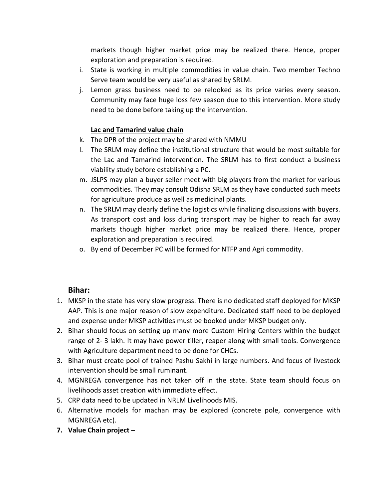markets though higher market price may be realized there. Hence, proper exploration and preparation is required.

- i. State is working in multiple commodities in value chain. Two member Techno Serve team would be very useful as shared by SRLM.
- j. Lemon grass business need to be relooked as its price varies every season. Community may face huge loss few season due to this intervention. More study need to be done before taking up the intervention.

#### **Lac and Tamarind value chain**

- k. The DPR of the project may be shared with NMMU
- l. The SRLM may define the institutional structure that would be most suitable for the Lac and Tamarind intervention. The SRLM has to first conduct a business viability study before establishing a PC.
- m. JSLPS may plan a buyer seller meet with big players from the market for various commodities. They may consult Odisha SRLM as they have conducted such meets for agriculture produce as well as medicinal plants.
- n. The SRLM may clearly define the logistics while finalizing discussions with buyers. As transport cost and loss during transport may be higher to reach far away markets though higher market price may be realized there. Hence, proper exploration and preparation is required.
- o. By end of December PC will be formed for NTFP and Agri commodity.

## **Bihar:**

- 1. MKSP in the state has very slow progress. There is no dedicated staff deployed for MKSP AAP. This is one major reason of slow expenditure. Dedicated staff need to be deployed and expense under MKSP activities must be booked under MKSP budget only.
- 2. Bihar should focus on setting up many more Custom Hiring Centers within the budget range of 2- 3 lakh. It may have power tiller, reaper along with small tools. Convergence with Agriculture department need to be done for CHCs.
- 3. Bihar must create pool of trained Pashu Sakhi in large numbers. And focus of livestock intervention should be small ruminant.
- 4. MGNREGA convergence has not taken off in the state. State team should focus on livelihoods asset creation with immediate effect.
- 5. CRP data need to be updated in NRLM Livelihoods MIS.
- 6. Alternative models for machan may be explored (concrete pole, convergence with MGNREGA etc).
- **7. Value Chain project –**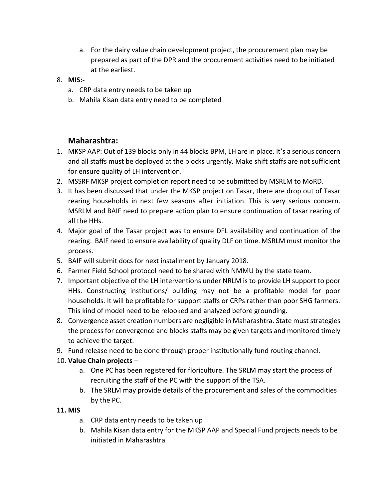a. For the dairy value chain development project, the procurement plan may be prepared as part of the DPR and the procurement activities need to be initiated at the earliest.

#### 8. **MIS:-**

- a. CRP data entry needs to be taken up
- b. Mahila Kisan data entry need to be completed

## **Maharashtra:**

- 1. MKSP AAP: Out of 139 blocks only in 44 blocks BPM, LH are in place. It's a serious concern and all staffs must be deployed at the blocks urgently. Make shift staffs are not sufficient for ensure quality of LH intervention.
- 2. MSSRF MKSP project completion report need to be submitted by MSRLM to MoRD.
- 3. It has been discussed that under the MKSP project on Tasar, there are drop out of Tasar rearing households in next few seasons after initiation. This is very serious concern. MSRLM and BAIF need to prepare action plan to ensure continuation of tasar rearing of all the HHs.
- 4. Major goal of the Tasar project was to ensure DFL availability and continuation of the rearing. BAIF need to ensure availability of quality DLF on time. MSRLM must monitor the process.
- 5. BAIF will submit docs for next installment by January 2018.
- 6. Farmer Field School protocol need to be shared with NMMU by the state team.
- 7. Important objective of the LH interventions under NRLM is to provide LH support to poor HHs. Constructing institutions/ building may not be a profitable model for poor households. It will be profitable for support staffs or CRPs rather than poor SHG farmers. This kind of model need to be relooked and analyzed before grounding.
- 8. Convergence asset creation numbers are negligible in Maharashtra. State must strategies the process for convergence and blocks staffs may be given targets and monitored timely to achieve the target.
- 9. Fund release need to be done through proper institutionally fund routing channel.
- 10. **Value Chain projects**
	- a. One PC has been registered for floriculture. The SRLM may start the process of recruiting the staff of the PC with the support of the TSA.
	- b. The SRLM may provide details of the procurement and sales of the commodities by the PC.

## **11. MIS**

- a. CRP data entry needs to be taken up
- b. Mahila Kisan data entry for the MKSP AAP and Special Fund projects needs to be initiated in Maharashtra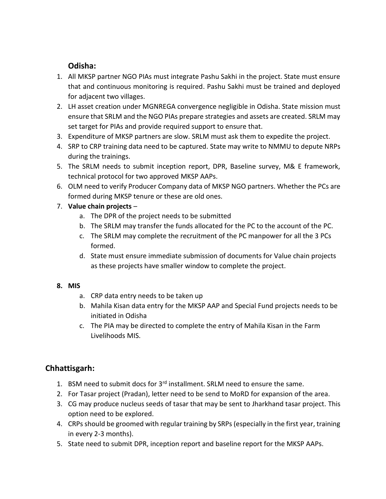## **Odisha:**

- 1. All MKSP partner NGO PIAs must integrate Pashu Sakhi in the project. State must ensure that and continuous monitoring is required. Pashu Sakhi must be trained and deployed for adjacent two villages.
- 2. LH asset creation under MGNREGA convergence negligible in Odisha. State mission must ensure that SRLM and the NGO PIAs prepare strategies and assets are created. SRLM may set target for PIAs and provide required support to ensure that.
- 3. Expenditure of MKSP partners are slow. SRLM must ask them to expedite the project.
- 4. SRP to CRP training data need to be captured. State may write to NMMU to depute NRPs during the trainings.
- 5. The SRLM needs to submit inception report, DPR, Baseline survey, M& E framework, technical protocol for two approved MKSP AAPs.
- 6. OLM need to verify Producer Company data of MKSP NGO partners. Whether the PCs are formed during MKSP tenure or these are old ones.

#### 7. **Value chain projects** –

- a. The DPR of the project needs to be submitted
- b. The SRLM may transfer the funds allocated for the PC to the account of the PC.
- c. The SRLM may complete the recruitment of the PC manpower for all the 3 PCs formed.
- d. State must ensure immediate submission of documents for Value chain projects as these projects have smaller window to complete the project.

#### **8. MIS**

- a. CRP data entry needs to be taken up
- b. Mahila Kisan data entry for the MKSP AAP and Special Fund projects needs to be initiated in Odisha
- c. The PIA may be directed to complete the entry of Mahila Kisan in the Farm Livelihoods MIS.

## **Chhattisgarh:**

- 1. BSM need to submit docs for  $3<sup>rd</sup>$  installment. SRLM need to ensure the same.
- 2. For Tasar project (Pradan), letter need to be send to MoRD for expansion of the area.
- 3. CG may produce nucleus seeds of tasar that may be sent to Jharkhand tasar project. This option need to be explored.
- 4. CRPs should be groomed with regular training by SRPs (especially in the first year, training in every 2-3 months).
- 5. State need to submit DPR, inception report and baseline report for the MKSP AAPs.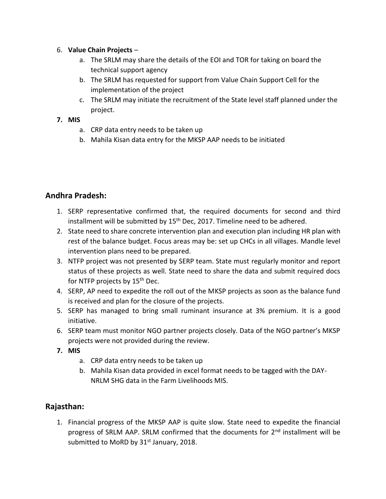#### 6. **Value Chain Projects** –

- a. The SRLM may share the details of the EOI and TOR for taking on board the technical support agency
- b. The SRLM has requested for support from Value Chain Support Cell for the implementation of the project
- c. The SRLM may initiate the recruitment of the State level staff planned under the project.

## **7. MIS**

- a. CRP data entry needs to be taken up
- b. Mahila Kisan data entry for the MKSP AAP needs to be initiated

## **Andhra Pradesh:**

- 1. SERP representative confirmed that, the required documents for second and third installment will be submitted by  $15<sup>th</sup>$  Dec, 2017. Timeline need to be adhered.
- 2. State need to share concrete intervention plan and execution plan including HR plan with rest of the balance budget. Focus areas may be: set up CHCs in all villages. Mandle level intervention plans need to be prepared.
- 3. NTFP project was not presented by SERP team. State must regularly monitor and report status of these projects as well. State need to share the data and submit required docs for NTFP projects by 15<sup>th</sup> Dec.
- 4. SERP, AP need to expedite the roll out of the MKSP projects as soon as the balance fund is received and plan for the closure of the projects.
- 5. SERP has managed to bring small ruminant insurance at 3% premium. It is a good initiative.
- 6. SERP team must monitor NGO partner projects closely. Data of the NGO partner's MKSP projects were not provided during the review.
- **7. MIS**
	- a. CRP data entry needs to be taken up
	- b. Mahila Kisan data provided in excel format needs to be tagged with the DAY-NRLM SHG data in the Farm Livelihoods MIS.

## **Rajasthan:**

1. Financial progress of the MKSP AAP is quite slow. State need to expedite the financial progress of SRLM AAP. SRLM confirmed that the documents for  $2^{nd}$  installment will be submitted to MoRD by  $31<sup>st</sup>$  January, 2018.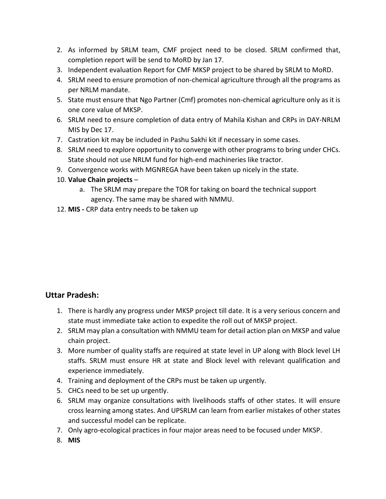- 2. As informed by SRLM team, CMF project need to be closed. SRLM confirmed that, completion report will be send to MoRD by Jan 17.
- 3. Independent evaluation Report for CMF MKSP project to be shared by SRLM to MoRD.
- 4. SRLM need to ensure promotion of non-chemical agriculture through all the programs as per NRLM mandate.
- 5. State must ensure that Ngo Partner (Cmf) promotes non-chemical agriculture only as it is one core value of MKSP.
- 6. SRLM need to ensure completion of data entry of Mahila Kishan and CRPs in DAY-NRLM MIS by Dec 17.
- 7. Castration kit may be included in Pashu Sakhi kit if necessary in some cases.
- 8. SRLM need to explore opportunity to converge with other programs to bring under CHCs. State should not use NRLM fund for high-end machineries like tractor.
- 9. Convergence works with MGNREGA have been taken up nicely in the state.
- 10. **Value Chain projects**
	- a. The SRLM may prepare the TOR for taking on board the technical support agency. The same may be shared with NMMU.
- 12. **MIS -** CRP data entry needs to be taken up

## **Uttar Pradesh:**

- 1. There is hardly any progress under MKSP project till date. It is a very serious concern and state must immediate take action to expedite the roll out of MKSP project.
- 2. SRLM may plan a consultation with NMMU team for detail action plan on MKSP and value chain project.
- 3. More number of quality staffs are required at state level in UP along with Block level LH staffs. SRLM must ensure HR at state and Block level with relevant qualification and experience immediately.
- 4. Training and deployment of the CRPs must be taken up urgently.
- 5. CHCs need to be set up urgently.
- 6. SRLM may organize consultations with livelihoods staffs of other states. It will ensure cross learning among states. And UPSRLM can learn from earlier mistakes of other states and successful model can be replicate.
- 7. Only agro-ecological practices in four major areas need to be focused under MKSP.
- 8. **MIS**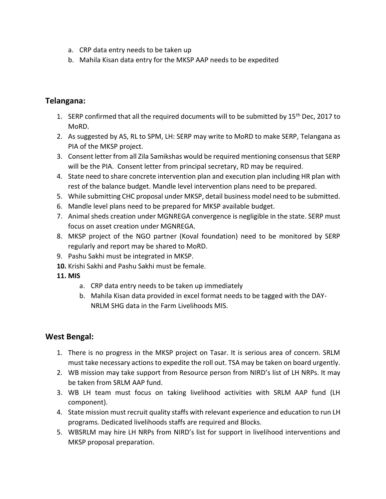- a. CRP data entry needs to be taken up
- b. Mahila Kisan data entry for the MKSP AAP needs to be expedited

## **Telangana:**

- 1. SERP confirmed that all the required documents will to be submitted by 15<sup>th</sup> Dec, 2017 to MoRD.
- 2. As suggested by AS, RL to SPM, LH: SERP may write to MoRD to make SERP, Telangana as PIA of the MKSP project.
- 3. Consent letter from all Zila Samikshas would be required mentioning consensus that SERP will be the PIA. Consent letter from principal secretary, RD may be required.
- 4. State need to share concrete intervention plan and execution plan including HR plan with rest of the balance budget. Mandle level intervention plans need to be prepared.
- 5. While submitting CHC proposal under MKSP, detail business model need to be submitted.
- 6. Mandle level plans need to be prepared for MKSP available budget.
- 7. Animal sheds creation under MGNREGA convergence is negligible in the state. SERP must focus on asset creation under MGNREGA.
- 8. MKSP project of the NGO partner (Koval foundation) need to be monitored by SERP regularly and report may be shared to MoRD.
- 9. Pashu Sakhi must be integrated in MKSP.
- **10.** Krishi Sakhi and Pashu Sakhi must be female.
- **11. MIS**
	- a. CRP data entry needs to be taken up immediately
	- b. Mahila Kisan data provided in excel format needs to be tagged with the DAY-NRLM SHG data in the Farm Livelihoods MIS.

## **West Bengal:**

- 1. There is no progress in the MKSP project on Tasar. It is serious area of concern. SRLM must take necessary actions to expedite the roll out. TSA may be taken on board urgently.
- 2. WB mission may take support from Resource person from NIRD's list of LH NRPs. It may be taken from SRLM AAP fund.
- 3. WB LH team must focus on taking livelihood activities with SRLM AAP fund (LH component).
- 4. State mission must recruit quality staffs with relevant experience and education to run LH programs. Dedicated livelihoods staffs are required and Blocks.
- 5. WBSRLM may hire LH NRPs from NIRD's list for support in livelihood interventions and MKSP proposal preparation.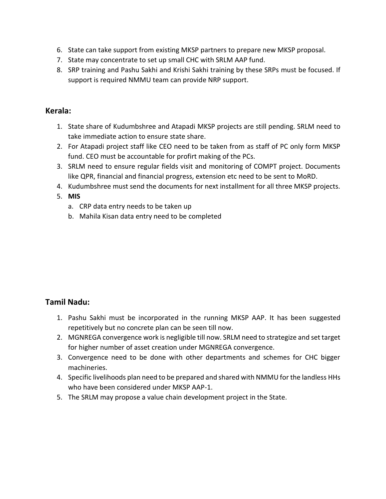- 6. State can take support from existing MKSP partners to prepare new MKSP proposal.
- 7. State may concentrate to set up small CHC with SRLM AAP fund.
- 8. SRP training and Pashu Sakhi and Krishi Sakhi training by these SRPs must be focused. If support is required NMMU team can provide NRP support.

#### **Kerala:**

- 1. State share of Kudumbshree and Atapadi MKSP projects are still pending. SRLM need to take immediate action to ensure state share.
- 2. For Atapadi project staff like CEO need to be taken from as staff of PC only form MKSP fund. CEO must be accountable for profirt making of the PCs.
- 3. SRLM need to ensure regular fields visit and monitoring of COMPT project. Documents like QPR, financial and financial progress, extension etc need to be sent to MoRD.
- 4. Kudumbshree must send the documents for next installment for all three MKSP projects.
- 5. **MIS**
	- a. CRP data entry needs to be taken up
	- b. Mahila Kisan data entry need to be completed

## **Tamil Nadu:**

- 1. Pashu Sakhi must be incorporated in the running MKSP AAP. It has been suggested repetitively but no concrete plan can be seen till now.
- 2. MGNREGA convergence work is negligible till now. SRLM need to strategize and set target for higher number of asset creation under MGNREGA convergence.
- 3. Convergence need to be done with other departments and schemes for CHC bigger machineries.
- 4. Specific livelihoods plan need to be prepared and shared with NMMU for the landless HHs who have been considered under MKSP AAP-1.
- 5. The SRLM may propose a value chain development project in the State.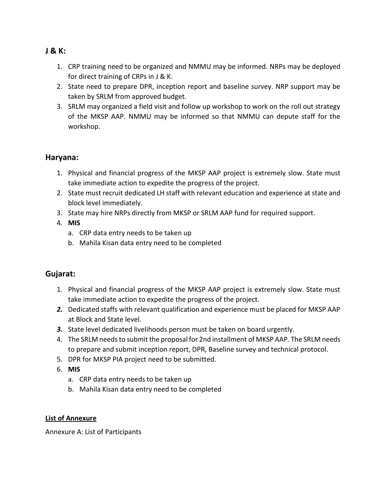## **J & K:**

- 1. CRP training need to be organized and NMMU may be informed. NRPs may be deployed for direct training of CRPs in J & K.
- 2. State need to prepare DPR, inception report and baseline survey. NRP support may be taken by SRLM from approved budget.
- 3. SRLM may organized a field visit and follow up workshop to work on the roll out strategy of the MKSP AAP. NMMU may be informed so that NMMU can depute staff for the workshop.

## **Haryana:**

- 1. Physical and financial progress of the MKSP AAP project is extremely slow. State must take immediate action to expedite the progress of the project.
- 2. State must recruit dedicated LH staff with relevant education and experience at state and block level immediately.
- 3. State may hire NRPs directly from MKSP or SRLM AAP fund for required support.

## 4. **MIS**

- a. CRP data entry needs to be taken up
- b. Mahila Kisan data entry need to be completed

## **Gujarat:**

- 1. Physical and financial progress of the MKSP AAP project is extremely slow. State must take immediate action to expedite the progress of the project.
- *2.* Dedicated staffs with relevant qualification and experience must be placed for MKSP AAP at Block and State level.
- *3.* State level dedicated livelihoods person must be taken on board urgently.
- 4. The SRLM needs to submit the proposal for 2nd installment of MKSP AAP. The SRLM needs to prepare and submit inception report, DPR, Baseline survey and technical protocol.
- 5. DPR for MKSP PIA project need to be submitted.
- 6. **MIS**
	- a. CRP data entry needs to be taken up
	- b. Mahila Kisan data entry need to be completed

## **List of Annexure**

Annexure A: List of Participants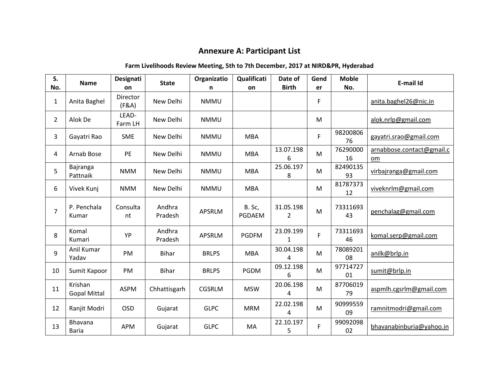# **Annexure A: Participant List**

#### **Farm Livelihoods Review Meeting, 5th to 7th December, 2017 at NIRD&PR, Hyderabad**

| S.<br>No.      | <b>Name</b>                    | Designati<br>on   | <b>State</b>      | Organizatio<br>n | Qualificati<br><b>on</b> | Date of<br><b>Birth</b> | Gend<br>er | <b>Moble</b><br>No. | E-mail Id                       |
|----------------|--------------------------------|-------------------|-------------------|------------------|--------------------------|-------------------------|------------|---------------------|---------------------------------|
| $\mathbf{1}$   | Anita Baghel                   | Director<br>(F&A) | New Delhi         | <b>NMMU</b>      |                          |                         | F          |                     | anita.baghel26@nic.in           |
| $\overline{2}$ | Alok De                        | LEAD-<br>Farm LH  | New Delhi         | <b>NMMU</b>      |                          |                         | M          |                     | alok.nrlp@gmail.com             |
| 3              | Gayatri Rao                    | <b>SME</b>        | New Delhi         | <b>NMMU</b>      | <b>MBA</b>               |                         | F          | 98200806<br>76      | gayatri.srao@gmail.com          |
| 4              | Arnab Bose                     | PE                | New Delhi         | <b>NMMU</b>      | <b>MBA</b>               | 13.07.198<br>6          | M          | 76290000<br>16      | arnabbose.contact@gmail.c<br>om |
| 5              | Bajranga<br>Pattnaik           | <b>NMM</b>        | New Delhi         | <b>NMMU</b>      | <b>MBA</b>               | 25.06.197<br>8          | M          | 82490135<br>93      | virbajranga@gmail.com           |
| 6              | Vivek Kunj                     | <b>NMM</b>        | New Delhi         | <b>NMMU</b>      | <b>MBA</b>               |                         | M          | 81787373<br>12      | viveknrlm@gmail.com             |
| $\overline{7}$ | P. Penchala<br>Kumar           | Consulta<br>nt    | Andhra<br>Pradesh | <b>APSRLM</b>    | B. Sc,<br>PGDAEM         | 31.05.198<br>2          | M          | 73311693<br>43      | penchalag@gmail.com             |
| 8              | Komal<br>Kumari                | YP                | Andhra<br>Pradesh | <b>APSRLM</b>    | <b>PGDFM</b>             | 23.09.199<br>1          | F          | 73311693<br>46      | komal.serp@gmail.com            |
| 9              | Anil Kumar<br>Yadav            | PM                | <b>Bihar</b>      | <b>BRLPS</b>     | <b>MBA</b>               | 30.04.198<br>4          | M          | 78089201<br>08      | anilk@brlp.in                   |
| 10             | Sumit Kapoor                   | PM                | <b>Bihar</b>      | <b>BRLPS</b>     | <b>PGDM</b>              | 09.12.198<br>6          | M          | 97714727<br>01      | sumit@brlp.in                   |
| 11             | Krishan<br><b>Gopal Mittal</b> | <b>ASPM</b>       | Chhattisgarh      | <b>CGSRLM</b>    | <b>MSW</b>               | 20.06.198<br>4          | M          | 87706019<br>79      | aspmlh.cgsrlm@gmail.com         |
| 12             | Ranjit Modri                   | <b>OSD</b>        | Gujarat           | <b>GLPC</b>      | <b>MRM</b>               | 22.02.198<br>4          | M          | 90999559<br>09      | ramnitmodri@gmail.com           |
| 13             | Bhavana<br><b>Baria</b>        | <b>APM</b>        | Gujarat           | <b>GLPC</b>      | MA                       | 22.10.197<br>5          | F          | 99092098<br>02      | bhavanabinburia@yahoo.in        |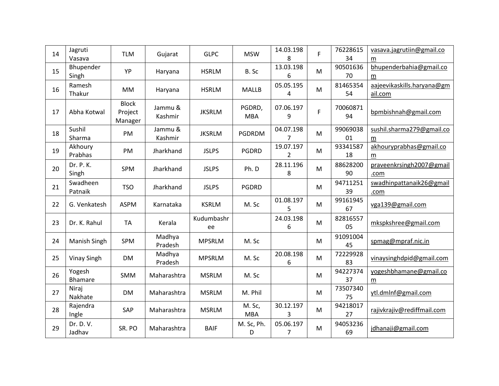| 14 | Jagruti<br>Vasava        | <b>TLM</b>                         | Gujarat            | <b>GLPC</b>      | <b>MSW</b>           | 14.03.198<br>8              | F         | 76228615<br>34 | vasava.jagrutiin@gmail.co<br>m        |
|----|--------------------------|------------------------------------|--------------------|------------------|----------------------|-----------------------------|-----------|----------------|---------------------------------------|
| 15 | Bhupender<br>Singh       | YP                                 | Haryana            | <b>HSRLM</b>     | B. Sc                | 13.03.198<br>6              | M         | 90501636<br>70 | bhupenderbahia@gmail.co<br>m          |
| 16 | Ramesh<br>Thakur         | <b>MM</b>                          | Haryana            | <b>HSRLM</b>     | <b>MALLB</b>         | 05.05.195<br>4              | ${\sf M}$ | 81465354<br>54 | aajeevikaskills.haryana@gm<br>ail.com |
| 17 | Abha Kotwal              | <b>Block</b><br>Project<br>Manager | Jammu &<br>Kashmir | <b>JKSRLM</b>    | PGDRD,<br><b>MBA</b> | 07.06.197<br>9              | F         | 70060871<br>94 | bpmbishnah@gmail.com                  |
| 18 | Sushil<br>Sharma         | PM                                 | Jammu &<br>Kashmir | <b>JKSRLM</b>    | <b>PGDRDM</b>        | 04.07.198<br>$\overline{7}$ | M         | 99069038<br>01 | sushil.sharma279@gmail.co<br>m        |
| 19 | Akhoury<br>Prabhas       | PM                                 | Jharkhand          | <b>JSLPS</b>     | <b>PGDRD</b>         | 19.07.197<br>2              | M         | 93341587<br>18 | akhouryprabhas@gmail.co<br>m          |
| 20 | Dr. P. K.<br>Singh       | SPM                                | Jharkhand          | <b>JSLPS</b>     | Ph.D                 | 28.11.196<br>8              | ${\sf M}$ | 88628200<br>90 | praveenkrsingh2007@gmail<br>.com      |
| 21 | Swadheen<br>Patnaik      | <b>TSO</b>                         | Jharkhand          | <b>JSLPS</b>     | <b>PGDRD</b>         |                             | M         | 94711251<br>39 | swadhinpattanaik26@gmail<br>.com      |
| 22 | G. Venkatesh             | <b>ASPM</b>                        | Karnataka          | <b>KSRLM</b>     | M. Sc                | 01.08.197<br>5              | M         | 99161945<br>67 | vga139@gmail.com                      |
| 23 | Dr. K. Rahul             | <b>TA</b>                          | Kerala             | Kudumbashr<br>ee |                      | 24.03.198<br>6              | M         | 82816557<br>05 | mkspkshree@gmail.com                  |
| 24 | Manish Singh             | SPM                                | Madhya<br>Pradesh  | <b>MPSRLM</b>    | M. Sc                |                             | M         | 91091004<br>45 | spmag@mpraf.nic.in                    |
| 25 | <b>Vinay Singh</b>       | DM                                 | Madhya<br>Pradesh  | <b>MPSRLM</b>    | M. Sc                | 20.08.198<br>6              | M         | 72229928<br>83 | vinaysinghdpid@gmail.com              |
| 26 | Yogesh<br><b>Bhamare</b> | <b>SMM</b>                         | Maharashtra        | <b>MSRLM</b>     | M. Sc                |                             | M         | 94227374<br>37 | yogeshbhamane@gmail.co<br>m           |
| 27 | Niraj<br>Nakhate         | DM                                 | Maharashtra        | <b>MSRLM</b>     | M. Phil              |                             | M         | 73507340<br>75 | ytl.dmlnf@gmail.com                   |
| 28 | Rajendra<br>Ingle        | SAP                                | Maharashtra        | <b>MSRLM</b>     | M. Sc,<br><b>MBA</b> | 30.12.197<br>3              | M         | 94218017<br>27 | rajivkrajiv@rediffmail.com            |
| 29 | Dr. D. V.<br>Jadhav      | SR. PO                             | Maharashtra        | <b>BAIF</b>      | M. Sc, Ph.<br>D      | 05.06.197<br>7              | ${\sf M}$ | 94053236<br>69 | jdhanaji@gmail.com                    |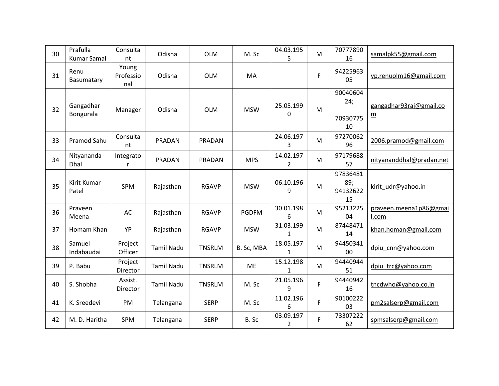| 30 | Prafulla<br><b>Kumar Samal</b> | Consulta<br>nt            | Odisha            | <b>OLM</b>    | M. Sc        | 04.03.195<br>5              | M         | 70777890<br>16                    | samalpk55@gmail.com                        |
|----|--------------------------------|---------------------------|-------------------|---------------|--------------|-----------------------------|-----------|-----------------------------------|--------------------------------------------|
| 31 | Renu<br>Basumatary             | Young<br>Professio<br>nal | Odisha            | <b>OLM</b>    | MA           |                             | F         | 94225963<br>05                    | yp.renuolm16@gmail.com                     |
| 32 | Gangadhar<br>Bongurala         | Manager                   | Odisha            | <b>OLM</b>    | <b>MSW</b>   | 25.05.199<br>0              | M         | 90040604<br>24;<br>70930775<br>10 | gangadhar93raj@gmail.co<br>$\underline{m}$ |
| 33 | Pramod Sahu                    | Consulta<br>nt            | PRADAN            | PRADAN        |              | 24.06.197<br>3              | M         | 97270062<br>96                    | 2006.pramod@gmail.com                      |
| 34 | Nityananda<br>Dhal             | Integrato<br>r            | PRADAN            | PRADAN        | <b>MPS</b>   | 14.02.197<br>$\overline{2}$ | M         | 97179688<br>57                    | nityananddhal@pradan.net                   |
| 35 | Kirit Kumar<br>Patel           | SPM                       | Rajasthan         | <b>RGAVP</b>  | <b>MSW</b>   | 06.10.196<br>9              | ${\sf M}$ | 97836481<br>89;<br>94132622<br>15 | kirit udr@yahoo.in                         |
| 36 | Praveen<br>Meena               | AC                        | Rajasthan         | <b>RGAVP</b>  | <b>PGDFM</b> | 30.01.198<br>6              | M         | 95213225<br>04                    | praveen.meena1p86@gmai<br>I.com            |
| 37 | Homam Khan                     | YP                        | Rajasthan         | <b>RGAVP</b>  | <b>MSW</b>   | 31.03.199<br>1              | M         | 87448471<br>14                    | khan.homan@gmail.com                       |
| 38 | Samuel<br>Indabaudai           | Project<br>Officer        | <b>Tamil Nadu</b> | <b>TNSRLM</b> | B. Sc, MBA   | 18.05.197<br>$\mathbf{1}$   | M         | 94450341<br>00                    | dpiu_cnn@yahoo.com                         |
| 39 | P. Babu                        | Project<br>Director       | <b>Tamil Nadu</b> | <b>TNSRLM</b> | <b>ME</b>    | 15.12.198<br>1              | M         | 94440944<br>51                    | dpiu trc@yahoo.com                         |
| 40 | S. Shobha                      | Assist.<br>Director       | <b>Tamil Nadu</b> | <b>TNSRLM</b> | M. Sc        | 21.05.196<br>9              | F         | 94440942<br>16                    | tncdwho@yahoo.co.in                        |
| 41 | K. Sreedevi                    | PM                        | Telangana         | <b>SERP</b>   | M. Sc        | 11.02.196<br>6              | F         | 90100222<br>03                    | pm2salserp@gmail.com                       |
| 42 | M. D. Haritha                  | SPM                       | Telangana         | <b>SERP</b>   | B. Sc        | 03.09.197<br>$\overline{2}$ | F         | 73307222<br>62                    | spmsalserp@gmail.com                       |